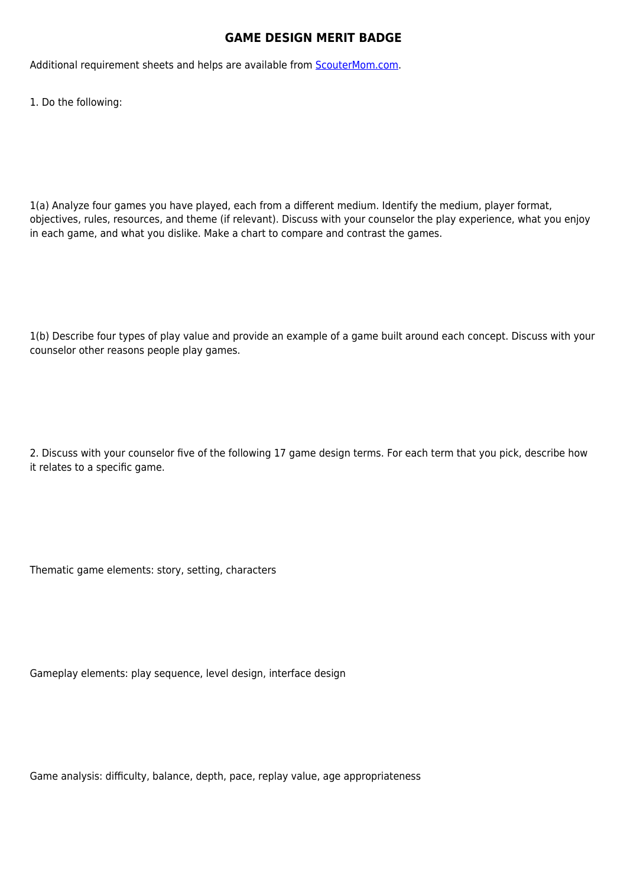## **GAME DESIGN MERIT BADGE**

Additional requirement sheets and helps are available from [ScouterMom.com](http://scoutermom.com).

1. Do the following:

1(a) Analyze four games you have played, each from a different medium. Identify the medium, player format, objectives, rules, resources, and theme (if relevant). Discuss with your counselor the play experience, what you enjoy in each game, and what you dislike. Make a chart to compare and contrast the games.

1(b) Describe four types of play value and provide an example of a game built around each concept. Discuss with your counselor other reasons people play games.

2. Discuss with your counselor five of the following 17 game design terms. For each term that you pick, describe how it relates to a specific game.

Thematic game elements: story, setting, characters

Gameplay elements: play sequence, level design, interface design

Game analysis: difficulty, balance, depth, pace, replay value, age appropriateness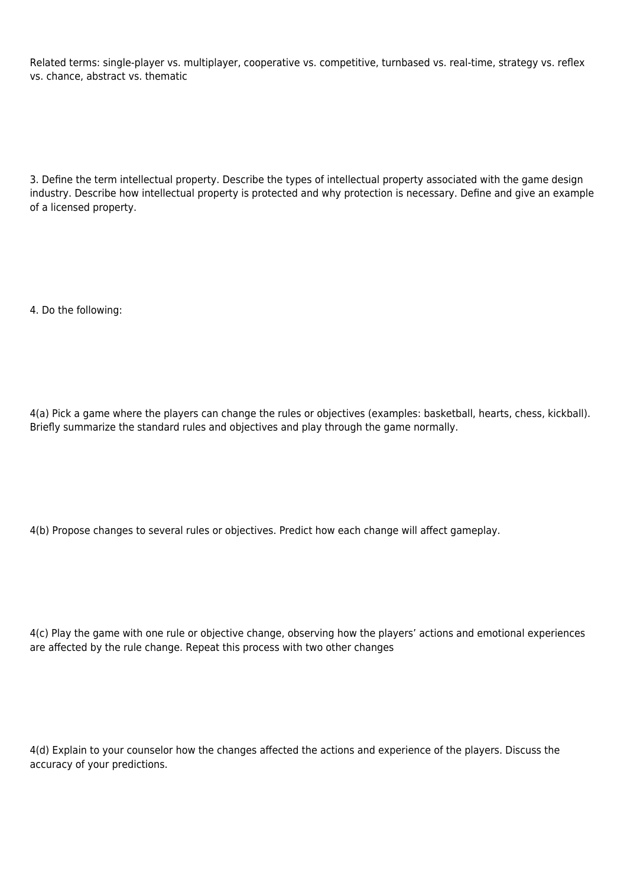Related terms: single-player vs. multiplayer, cooperative vs. competitive, turnbased vs. real-time, strategy vs. reflex vs. chance, abstract vs. thematic

3. Define the term intellectual property. Describe the types of intellectual property associated with the game design industry. Describe how intellectual property is protected and why protection is necessary. Define and give an example of a licensed property.

4. Do the following:

4(a) Pick a game where the players can change the rules or objectives (examples: basketball, hearts, chess, kickball). Briefly summarize the standard rules and objectives and play through the game normally.

4(b) Propose changes to several rules or objectives. Predict how each change will affect gameplay.

4(c) Play the game with one rule or objective change, observing how the players' actions and emotional experiences are affected by the rule change. Repeat this process with two other changes

4(d) Explain to your counselor how the changes affected the actions and experience of the players. Discuss the accuracy of your predictions.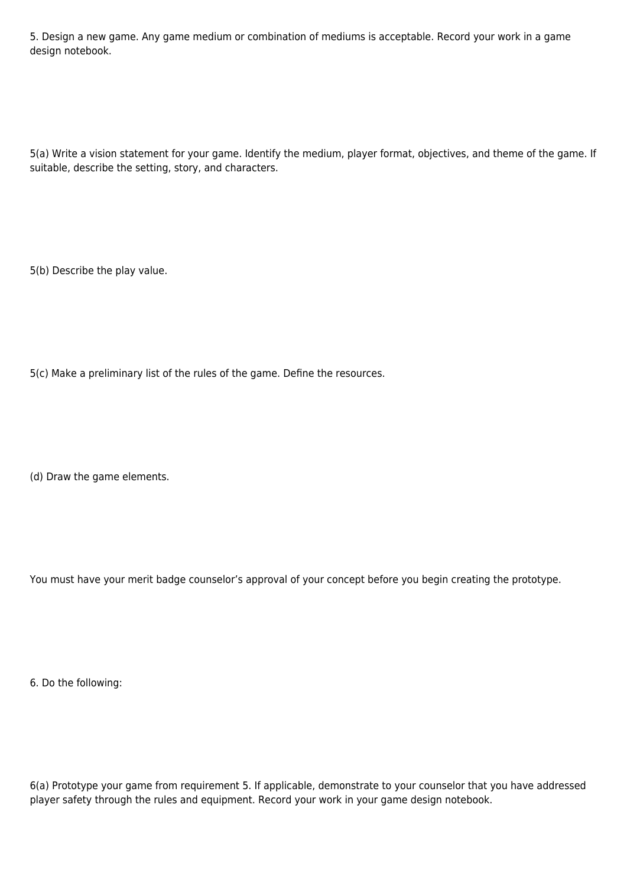5. Design a new game. Any game medium or combination of mediums is acceptable. Record your work in a game design notebook.

5(a) Write a vision statement for your game. Identify the medium, player format, objectives, and theme of the game. If suitable, describe the setting, story, and characters.

5(b) Describe the play value.

5(c) Make a preliminary list of the rules of the game. Define the resources.

(d) Draw the game elements.

You must have your merit badge counselor's approval of your concept before you begin creating the prototype.

6. Do the following:

6(a) Prototype your game from requirement 5. If applicable, demonstrate to your counselor that you have addressed player safety through the rules and equipment. Record your work in your game design notebook.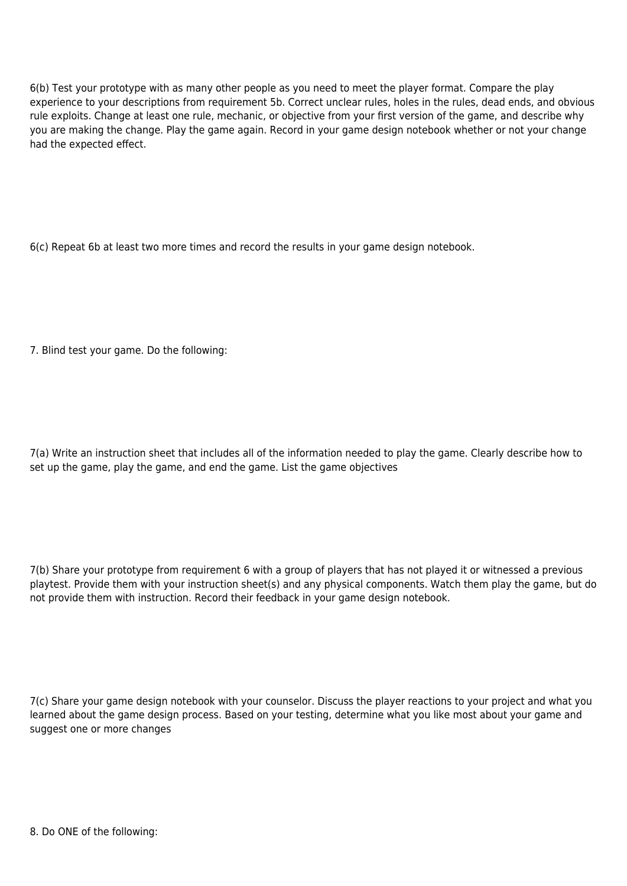6(b) Test your prototype with as many other people as you need to meet the player format. Compare the play experience to your descriptions from requirement 5b. Correct unclear rules, holes in the rules, dead ends, and obvious rule exploits. Change at least one rule, mechanic, or objective from your first version of the game, and describe why you are making the change. Play the game again. Record in your game design notebook whether or not your change had the expected effect.

6(c) Repeat 6b at least two more times and record the results in your game design notebook.

7. Blind test your game. Do the following:

7(a) Write an instruction sheet that includes all of the information needed to play the game. Clearly describe how to set up the game, play the game, and end the game. List the game objectives

7(b) Share your prototype from requirement 6 with a group of players that has not played it or witnessed a previous playtest. Provide them with your instruction sheet(s) and any physical components. Watch them play the game, but do not provide them with instruction. Record their feedback in your game design notebook.

7(c) Share your game design notebook with your counselor. Discuss the player reactions to your project and what you learned about the game design process. Based on your testing, determine what you like most about your game and suggest one or more changes